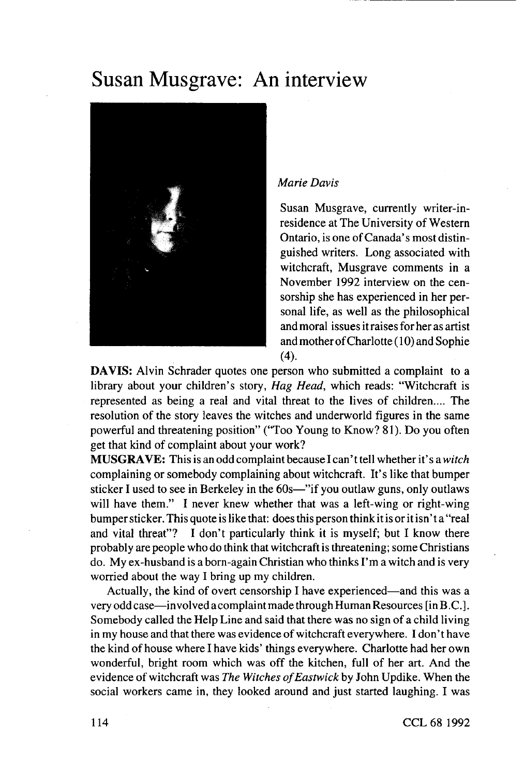## Susan Musgrave: An interview



## *Marie Davis*

Susan Musgrave, currently writer-inresidence at The University of Western Ontario, is one of Canada's most distinguished writers. Long associated with witchcraft, Musgrave comments in a November 1992 interview on the censorship she has experienced in her personal life, as well as the philosophical and moral issues it raises for her as artist and mother of Charlotte (10) and Sophie (4).

**DAVIS:** Alvin Schrader quotes one person who submitted a complaint to a library about your children's story. *Hag Head,* which reads: "Witchcraft is represented as being a real and vital threat to the lives of children.... The resolution of the story leaves the witches and underworld figures in the same powerful and threatening position" ("Too Young to Know? 81). Do you often get that kind of complaint about your work?

**MUSGRAVE:** This is an odd complaint because I can't tell whether it's a *witch* complaining or somebody complaining about witchcraft. It's like that bumper sticker I used to see in Berkeley in the 60s—"if you outlaw guns, only outlaws will have them." I never knew whether that was a left-wing or right-wing bumper sticker. This quote is like that: does this person think it is or it isn' t a "real and vital threat"? I don't particularly think it is myself; but I know there probably are people who do think that witchcraft is threatening; some Christians do. My ex-husband is a born-again Christian who thinks I'm a witch and is very worried about the way I bring up my children.

Actually, the kind of overt censorship I have experienced—and this was a very odd case—involved acomplaint made through Human Resources [in B .C.]. Somebody called the Help Line and said that there was no sign of a child living in my house and that there was evidence of witchcraft everywhere. I don't have the kind of house where I have kids' things everywhere. Charlotte had her own wonderful, bright room which was off the kitchen, full of her art. And the evidence of witchcraft was *The Witches of Eastwick* by John Updike. When the social workers came in, they looked around and just started laughing. I was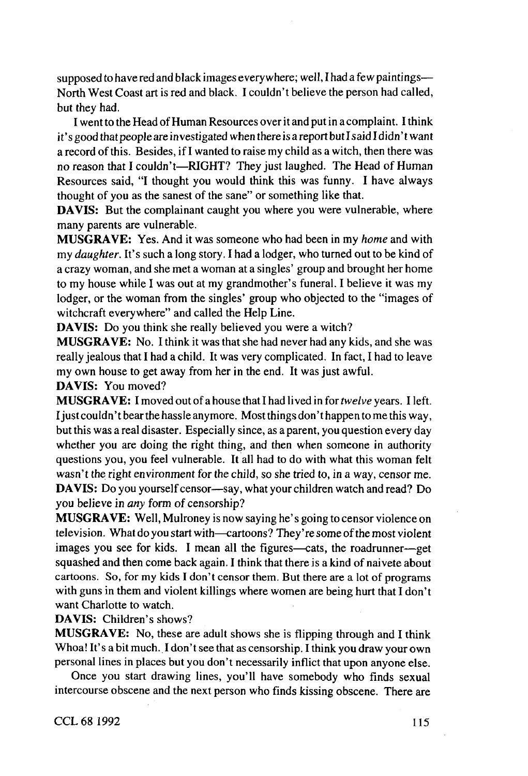supposed to have red and black images everywhere; well, I had a few paintings— North West Coast art is red and black. I couldn't believe the person had called, but they had.

I went to the Head of Human Resources over it and put in a complaint. I think it's good that people are investigated when there is a report but I said I didn' t want a record of this. Besides, if I wanted to raise my child as a witch, then there was no reason that I couldn't—RIGHT? They just laughed. The Head of Human Resources said, "I thought you would think this was funny. I have always thought of you as the sanest of the sane" or something like that.

**DAVIS:** But the complainant caught you where you were vulnerable, where many parents are vulnerable.

**MUSGRAVE:** Yes. And it was someone who had been in my *home* and with my *daughter.* It's such a long story. I had a lodger, who turned out to be kind of a crazy woman, and she met a woman at a singles' group and brought her home to my house while I was out at my grandmother's funeral. I believe it was my lodger, or the woman from the singles' group who objected to the "images of witchcraft everywhere" and called the Help Line.

**DAVIS:** Do you think she really believed you were a witch?

**MUSGRAVE:** No. I think it was that she had never had any kids, and she was really jealous that I had a child. It was very complicated. In fact, I had to leave my own house to get away from her in the end. It was just awful.

**DAVIS:** You moved?

**MUSGRAVE:** I moved out of a house that I had lived in *fortwelve* years. Heft. I just couldn't bear the hassle anymore. Most things don't happen to me this way, but this was a real disaster. Especially since, as a parent, you question every day whether you are doing the right thing, and then when someone in authority questions you, you feel vulnerable. It all had to do with what this woman felt wasn't the right environment for the child, so she tried to, in a way, censor me. **DAVIS:** Do you yourself censor—say, what your children watch and read? Do you believe in *any* form of censorship?

**MUSGRAVE:** Well, Mulroney is now saying he's going to censor violence on television. What do you start with—cartoons? They're some of the most violent images you see for kids. I mean all the figures—cats, the roadrunner—get squashed and then come back again. I think that there is a kind of naivete about cartoons. So, for my kids I don't censor them. But there are a lot of programs with guns in them and violent killings where women are being hurt that I don't want Charlotte to watch.

**DAVIS:** Children's shows?

**MUSGRAVE:** No, these are adult shows she is flipping through and I think Whoa! It's a bit much. I don't see that as censorship. I think you draw your own personal lines in places but you don't necessarily inflict that upon anyone else.

Once you start drawing lines, you'll have somebody who finds sexual intercourse obscene and the next person who finds kissing obscene. There are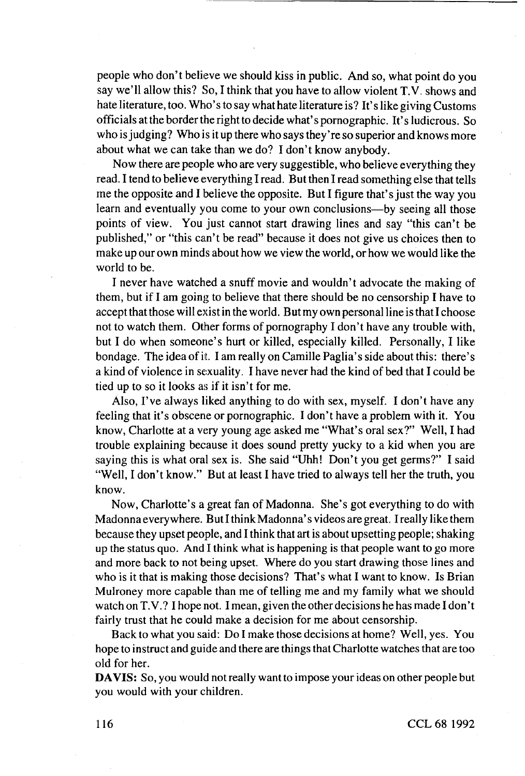people who don't believe we should kiss in public. And so, what point do you say we'll allow this? So, I think that you have to allow violent **T.V.** shows and hate literature, too. Who's to say what hate literature is? It's like giving Customs officials at the border the right to decide what's pornographic. It's ludicrous. So who is judging? Who is it up there who says they're so superior and knows more about what we can take than we do? I don't know anybody.

Now there are people who are very suggestible, who believe everything they read. I tend to believe everything I read. But then I read something else that tells me the opposite and I believe the opposite. But I figure that's just the way you learn and eventually you come to your own conclusions—by seeing all those points of view. You just cannot start drawing lines and say "this can't be published," or "this can't be read" because it does not give us choices then to make up our own minds about how we view the world, or how we would like the world to be.

I never have watched a snuff movie and wouldn't advocate the making of them, but if I am going to believe that there should be no censorship I have to accept that those will exist in the world. But my own personal line is that I choose not to watch them. Other forms of pornography I don't have any trouble with, but I do when someone's hurt or killed, especially killed. Personally, I like bondage. The idea of it. I am really on Camille Paglia's side about this: there's a kind of violence in sexuality. I have never had the kind of bed that I could be tied up to so it looks as if it isn't for me.

Also, I've always liked anything to do with sex, myself. I don't have any feeling that it's obscene or pornographic. I don't have a problem with it. You know, Charlotte at a very young age asked me "What's oral sex?" Well, I had trouble explaining because it does sound pretty yucky to a kid when you are saying this is what oral sex is. She said "Uhh! Don't you get germs?" I said "Well, I don't know." But at least I have tried to always tell her the truth, you know.

Now, Charlotte's a great fan of Madonna. She's got everything to do with Madonna everywhere. But I think Madonna's videos are great. I really like them because they upset people, and I think that art is about upsetting people; shaking up the status quo. And I think what is happening is that people want to go more and more back to not being upset. Where do you start drawing those lines and who is it that is making those decisions? That's what I want to know. Is Brian Mulroney more capable than me of telling me and my family what we should watch on T.V.? I hope not. I mean, given the other decisions he has made I don't fairly trust that he could make a decision for me about censorship.

Back to what you said: Do I make those decisions at home? Well, yes. You hope to instruct and guide and there are things that Charlotte watches that are too old for her.

**DA VIS:** So, you would not really want to impose your ideas on other people but you would with your children.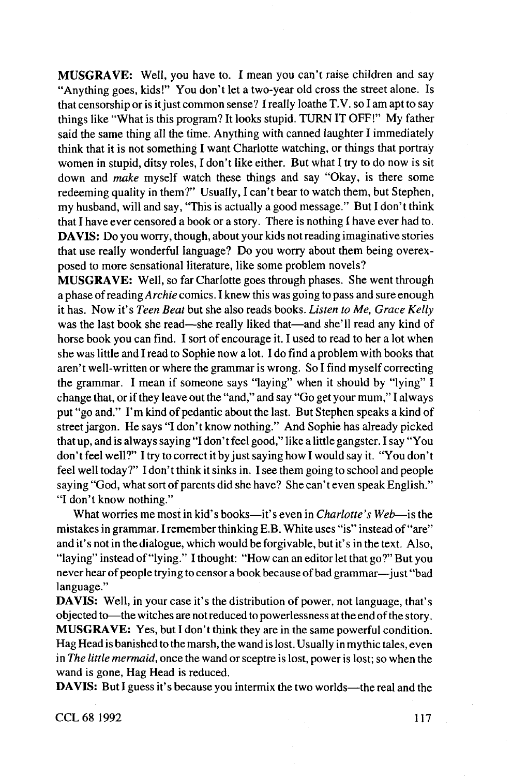**MUSGRAVE:** Well, you have to. I mean you can't raise children and say "Anything goes, kids!" You don't let a two-year old cross the street alone. Is that censorship or is it just common sense? I really loathe T.V. so I am apt to say things like "What is this program? It looks stupid. TURN IT OFF!" My father said the same thing all the time. Anything with canned laughter I immediately think that it is not something I want Charlotte watching, or things that portray women in stupid, ditsy roles, I don't like either. But what I try to do now is sit down and *make* myself watch these things and say "Okay, is there some redeeming quality in them?" Usually, I can't bear to watch them, but Stephen, my husband, will and say, "This is actually a good message." But I don't think that I have ever censored a book or a story. There is nothing I have ever had to. **DA VIS:** Do you worry, though, about your kids not reading imaginative stories that use really wonderful language? Do you worry about them being overexposed to more sensational literature, like some problem novels?

**MUSGRAVE:** Well, so far Charlotte goes through phases. She went through a phase of reading *Archie* comics. I knew this was going to pass and sure enough it has. Now it's *Teen Beat* but she also reads books. *Listen to Me, Grace Kelly* was the last book she read—she really liked that—and she'll read any kind of horse book you can find. I sort of encourage it. I used to read to her a lot when she was little and I read to Sophie now a lot. I do find a problem with books that aren't well-written or where the grammar is wrong. So I find myself correcting the grammar. I mean if someone says "laying" when it should by "lying" I change that, or if they leave out the "and," and say "Go get your mum," I always put "go and." I'm kind of pedantic about the last. But Stephen speaks a kind of street jargon. He says "I don't know nothing." And Sophie has already picked that up, and is always saying "I don't feel good," like a little gangster. I say "You don't feel well?" I try to correct it by just saying how I would say it. "You don't feel well today?" I don't think it sinks in. I see them going to school and people saying "God, what sort of parents did she have? She can't even speak English." "I don't know nothing."

What worries me most in kid's books—it's even in *Charlotte's Web—*is the mistakes in grammar. I remember thinking E.B. White uses "is" instead of "are" and it's not in the dialogue, which would be forgivable, but it's in the text. Also, "laying" instead of "lying." I thought: "How can an editor let that go?" But you never hear of people trying to censor a book because of bad grammar—just "bad language."

**DAVIS:** Well, in your case it's the distribution of power, not language, that's objected to—the witches are notreduced to powerlessness at the end of the story. **MUSGRAVE:** Yes, but I don't think they are in the same powerful condition. Hag Head is banished to the marsh, the wand is lost. Usually in mythic tales, even in *The little mermaid,* once the wand or sceptre is lost, power is lost; so when the wand is gone. Hag Head is reduced.

**DAVIS:** But I guess it's because you intermix the two worlds—the real and the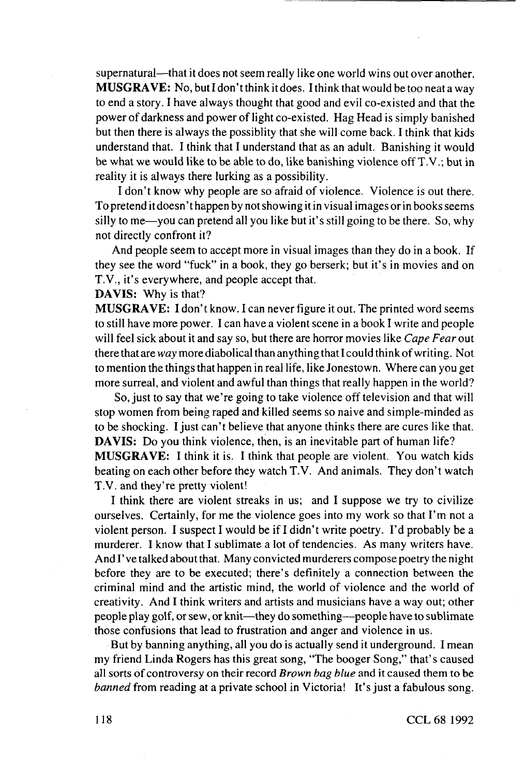supernatural—that it does not seem really like one world wins out over another. **MUSGRAVE:** No, but I don't think it does. I think that would be too neat a way to end a story. I have always thought that good and evil co-existed and that the power of darkness and power of light co-existed. Hag Head is simply banished but then there is always the possiblity that she will come back. I think that kids understand that. I think that I understand that as an adult. Banishing it would be what we would like to be able to do, like banishing violence offT.V.; but in reality it is always there lurking as a possibility.

I don't know why people are so afraid of violence. Violence is out there. To pretend it doesn' t happen by not showing it in visual images or in books seems silly to me—you can pretend all you like but it's still going to be there. So, why not directly confront it?

And people seem to accept more in visual images than they do in a book. If they see the word "fuck" in a book, they go berserk; but it's in movies and on T.V., it's everywhere, and people accept that.

## **DAVIS:** Why is that?

**MUSGRAVE: I** don't know. I can never figure it out. The printed word seems to still have more power. I can have a violent scene in a book I write and people will feel sick about it and say so, but there are horror movies like *Cape Fear* out there that are *way* more diabolical than anything that I could think of writing. Not to mention the things that happen in real life, like Jonestown. Where can you get more surreal, and violent and awful than things that really happen in the world?

So, just to say that we're going to take violence off television and that will stop women from being raped and killed seems so naive and simple-minded as to be shocking. I just can't believe that anyone thinks there are cures like that. **DAVIS:** Do you think violence, then, is an inevitable part of human life? **MUSGRAVE:** I think it is. I think that people are violent. You watch kids beating on each other before they watch T.V. And animals. They don't watch T.V. and they're pretty violent!

I think there are violent streaks in us; and I suppose we try to civilize ourselves. Certainly, for me the violence goes into my work so that I'm not a violent person. I suspect I would be if I didn't write poetry. I'd probably be a murderer. I know that I sublimate a lot of tendencies. As many writers have. And I' ve talked about that. Many convicted murderers compose poetry the night before they are to be executed; there's definitely a connection between the criminal mind and the artistic mind, the world of violence and the world of creativity. And I think writers and artists and musicians have a way out; other people play golf, **or** sew, or knit—they do something—people have to sublimate those confusions that lead to frustration and anger and violence in us.

But by banning anything, all you do is actually send it underground. I mean my friend Linda Rogers has this great song, "The booger Song," that's caused all sorts of controversy on their record *Brown bag blue* and it caused them to be *banned* from reading at a private school in Victoria! It's just a fabulous song.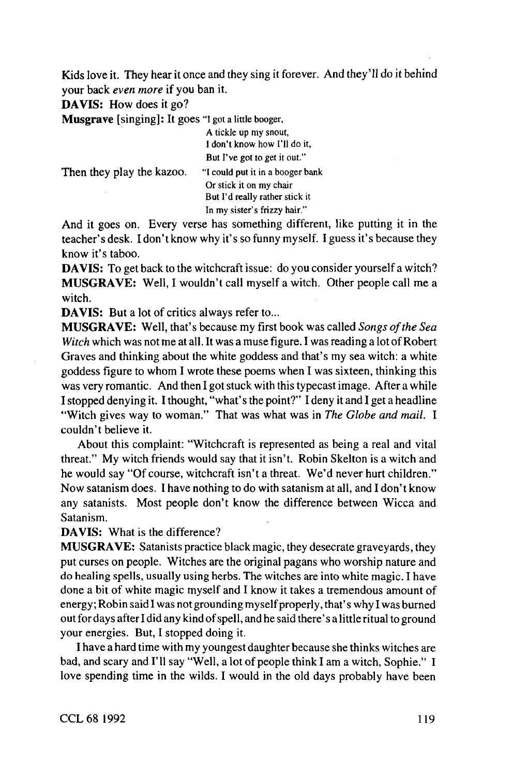Kids love it. They hear it once and they sing it forever. And they'll do it behind your back *even more if* you ban it.

**DAVIS:** How does it go?

**Musgrave** [singing]: It goes "I got a little booger,

|                           | A tickle up my snout,            |
|---------------------------|----------------------------------|
|                           | I don't know how I'll do it,     |
|                           | But I've got to get it out."     |
| Then they play the kazoo. | "I could put it in a booger bank |
|                           | Or stick it on my chair          |
|                           | But I'd really rather stick it   |
|                           | In my sister's frizzy hair."     |

And it goes on. Every verse has something different, like putting it in the teacher's desk. I don't know why it's so funny myself. I guess it's because they know it's taboo.

**DAVIS:** To get back to the witchcraft issue: do you consider yourself a witch? **MUSGRAVE:** Well, I wouldn't call myself a witch. Other people call me a witch.

**DAVIS:** But a lot of critics always refer to...

**MUSGRAVE:** Well, that's because my first book was called *Songs of the Sea Witch* which was not me at all. It was a muse figure. I was reading a lot of Robert Graves and thinking about the white goddess and that's my sea witch: a white goddess figure to whom I wrote these poems when I was sixteen, thinking this was very romantic. And then I got stuck with this typecast image. After a while I stopped denying it. I thought, "what's the point?" I deny it and I get a headline "Witch gives way to woman." That was what was in The Globe and mail. I couldn't believe it.

About this complaint: "Witchcraft is represented as being a real and vital threat." My witch friends would say that it isn't. Robin Skelton is a witch and he would say "Of course, witchcraft isn't a threat. We'd never hurt children." Now satanism does. I have nothing to do with satanism at all, and I don't know any satanists. Most people don't know the difference between Wicca and Satanism.

**DAVIS:** What is the difference?

**MUSGRAVE:** Satanists practice black magic, they desecrate graveyards, they put curses on people. Witches are the original pagans who worship nature and do healing spells, usually using herbs. The witches are into white magic. I have done a bit of white magic myself and I know it takes a tremendous amount of energy; Robin said I was not grounding my self properly, that's why I was burned out for days after I did any kind of spell, and he said there's a little ritual to ground your energies. But, I stopped doing it

I have a hard time with my youngest daughter because she thinks witches are bad, and scary and I'll say "Well, a lot of people think I am a witch, Sophie." I love spending time in the wilds. I would in the old days probably have been